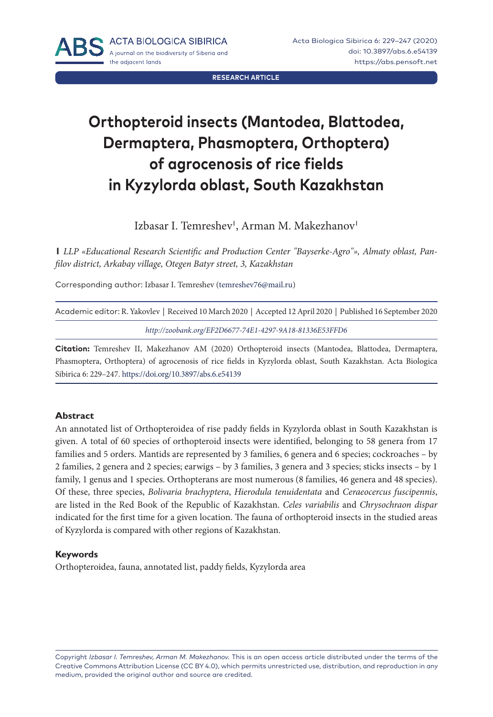**RESEARCH ARTICLE**

# **Orthopteroid insects (Mantodea, Blattodea, Dermaptera, Phasmoptera, Orthoptera) of agrocenosis of rice fields in Kyzylorda oblast, South Kazakhstan**

Izbasar I. Temreshev', Arman M. Makezhanov'

**1** *LLP «Educational Research Scientific and Production Center "Bayserke-Agro"», Almaty oblast, Panfilov district, Arkabay village, Otegen Batyr street, 3, Kazakhstan*

Corresponding author: Izbasar I. Temreshev ([temreshev76@mail.ru\)](mailto:temreshev76@mail.ru)

| Academic editor: R. Yakovlev   Received 10 March 2020   Accepted 12 April 2020   Published 16 September 2020 |  |
|--------------------------------------------------------------------------------------------------------------|--|
| http://zoobank.org/EF2D6677-74E1-4297-9A18-81336E53FFD6                                                      |  |

**Citation:** Temreshev II, Makezhanov AM (2020) Orthopteroid insects (Mantodea, Blattodea, Dermaptera, Phasmoptera, Orthoptera) of agrocenosis of rice fields in Kyzylorda oblast, South Kazakhstan. Acta Biologica Sibirica 6: 229–247. <https://doi.org/10.3897/abs.6.e54139>

#### **Abstract**

An annotated list of Orthopteroidea of rise paddy fields in Kyzylorda oblast in South Kazakhstan is given. A total of 60 species of orthopteroid insects were identified, belonging to 58 genera from 17 families and 5 orders. Mantids are represented by 3 families, 6 genera and 6 species; cockroaches – by 2 families, 2 genera and 2 species; earwigs – by 3 families, 3 genera and 3 species; sticks insects – by 1 family, 1 genus and 1 species. Orthopterans are most numerous (8 families, 46 genera and 48 species). Of these, three species, *Bolivaria brachyptera*, *Hierodula tenuidentata* and *Ceraeocercus fuscipennis*, are listed in the Red Book of the Republic of Kazakhstan. *Celes variabilis* and *Chrysochraon dispar* indicated for the first time for a given location. The fauna of orthopteroid insects in the studied areas of Kyzylorda is compared with other regions of Kazakhstan.

#### **Keywords**

Orthopteroidea, fauna, annotated list, paddy fields, Kyzylorda area

Copyright *Izbasar I. Temreshev, Arman M. Makezhanov.* This is an open access article distributed under the terms of the [Creative Commons Attribution License \(CC BY 4.0\)](http://creativecommons.org/licenses/by/4.0/), which permits unrestricted use, distribution, and reproduction in any medium, provided the original author and source are credited.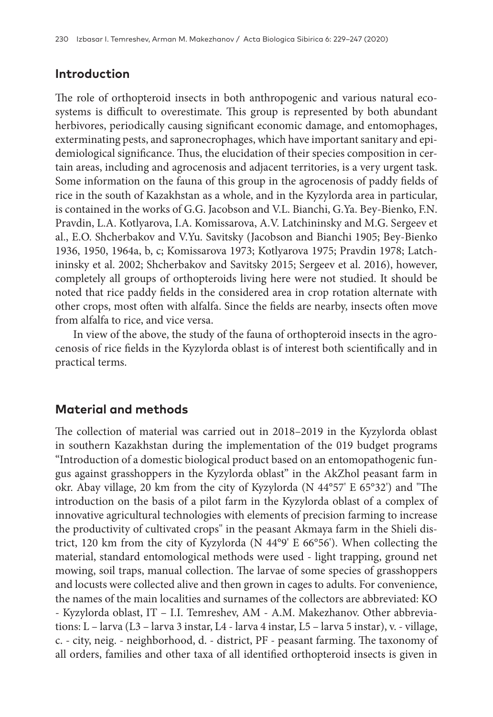# **Introduction**

The role of orthopteroid insects in both anthropogenic and various natural ecosystems is difficult to overestimate. This group is represented by both abundant herbivores, periodically causing significant economic damage, and entomophages, exterminating pests, and sapronecrophages, which have important sanitary and epidemiological significance. Thus, the elucidation of their species composition in certain areas, including and agrocenosis and adjacent territories, is a very urgent task. Some information on the fauna of this group in the agrocenosis of paddy fields of rice in the south of Kazakhstan as a whole, and in the Kyzylorda area in particular, is contained in the works of G.G. Jacobson and V.L. Bianchi, G.Ya. Bey-Bienko, F.N. Pravdin, L.A. Kotlyarova, I.A. Komissarova, A.V. Latchininsky and M.G. Sergeev et al., E.O. Shcherbakov and V.Yu. Savitsky (Jacobson and Bianchi 1905; Bey-Bienko 1936, 1950, 1964a, b, c; Komissarova 1973; Kotlyarova 1975; Pravdin 1978; Latchininsky et al. 2002; Shcherbakov and Savitsky 2015; Sergeev et al. 2016), however, completely all groups of orthopteroids living here were not studied. It should be noted that rice paddy fields in the considered area in crop rotation alternate with other crops, most often with alfalfa. Since the fields are nearby, insects often move from alfalfa to rice, and vice versa.

In view of the above, the study of the fauna of orthopteroid insects in the agrocenosis of rice fields in the Kyzylorda oblast is of interest both scientifically and in practical terms.

# **Material and methods**

The collection of material was carried out in 2018–2019 in the Kyzylorda oblast in southern Kazakhstan during the implementation of the 019 budget programs "Introduction of a domestic biological product based on an entomopathogenic fungus against grasshoppers in the Kyzylorda oblast" in the AkZhol peasant farm in okr. Abay village, 20 km from the city of Kyzylorda (N 44°57' E 65°32') and "The introduction on the basis of a pilot farm in the Kyzylorda oblast of a complex of innovative agricultural technologies with elements of precision farming to increase the productivity of cultivated crops" in the peasant Akmaya farm in the Shieli district, 120 km from the city of Kyzylorda (N 44°9' E 66°56'). When collecting the material, standard entomological methods were used - light trapping, ground net mowing, soil traps, manual collection. The larvae of some species of grasshoppers and locusts were collected alive and then grown in cages to adults. For convenience, the names of the main localities and surnames of the collectors are abbreviated: KO - Kyzylorda oblast, IT – I.I. Temreshev, AM - A.M. Makezhanov. Other abbreviations: L – larva (L3 – larva 3 instar, L4 - larva 4 instar, L5 – larva 5 instar), v. - village, c. - city, neig. - neighborhood, d. - district, PF - peasant farming. The taxonomy of all orders, families and other taxa of all identified orthopteroid insects is given in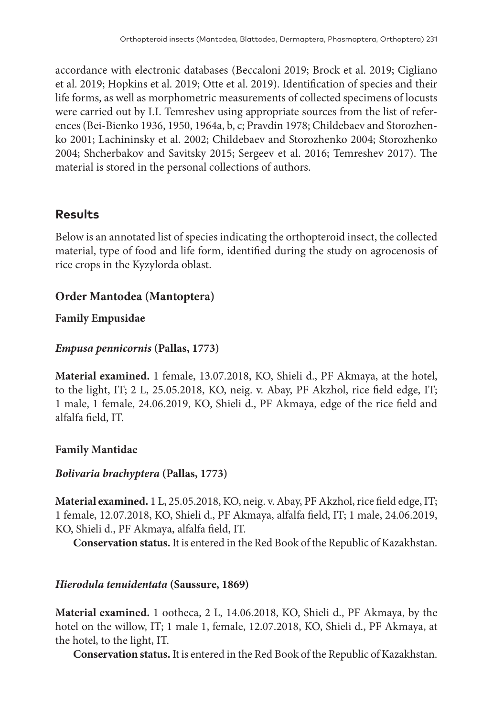accordance with electronic databases (Beccaloni 2019; Brock et al. 2019; Cigliano et al. 2019; Hopkins et al. 2019; Otte et al. 2019). Identification of species and their life forms, as well as morphometric measurements of collected specimens of locusts were carried out by I.I. Temreshev using appropriate sources from the list of references (Bei-Bienko 1936, 1950, 1964a, b, c; Pravdin 1978; Childebaev and Storozhenko 2001; Lachininsky et al. 2002; Childebaev and Storozhenko 2004; Storozhenko 2004; Shcherbakov and Savitsky 2015; Sergeev et al. 2016; Temreshev 2017). The material is stored in the personal collections of authors.

# **Results**

Below is an annotated list of species indicating the orthopteroid insect, the collected material, type of food and life form, identified during the study on agrocenosis of rice crops in the Kyzylorda oblast.

# **Order Mantodea (Mantoptera)**

**Family Empusidae**

### *Empusa pennicornis* **(Pallas, 1773)**

**Material examined.** 1 female, 13.07.2018, KO, Shieli d., PF Akmaya, at the hotel, to the light, IT; 2 L, 25.05.2018, KO, neig. v. Abay, PF Akzhol, rice field edge, IT; 1 male, 1 female, 24.06.2019, KO, Shieli d., PF Akmaya, edge of the rice field and alfalfa field, IT.

### **Family Mantidae**

### *Bolivaria brachyptera* **(Pallas, 1773)**

**Material examined.** 1 L, 25.05.2018, KO, neig. v. Abay, PF Akzhol, rice field edge, IT; 1 female, 12.07.2018, KO, Shieli d., PF Akmaya, alfalfa field, IT; 1 male, 24.06.2019, KO, Shieli d., PF Akmaya, alfalfa field, IT.

**Conservation status.** It is entered in the Red Book of the Republic of Kazakhstan.

### *Hierodula tenuidentata* **(Saussure, 1869)**

**Material examined.** 1 ootheca, 2 L, 14.06.2018, KO, Shieli d., PF Akmaya, by the hotel on the willow, IT; 1 male 1, female, 12.07.2018, KO, Shieli d., PF Akmaya, at the hotel, to the light, IT.

**Conservation status.** It is entered in the Red Book of the Republic of Kazakhstan.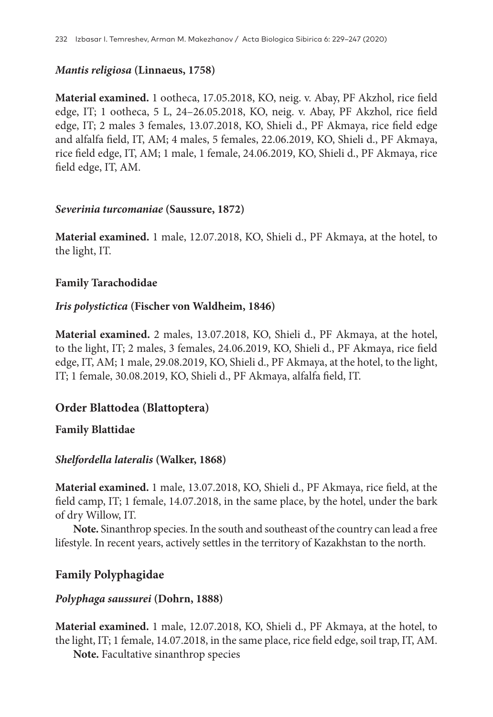### *Mantis religiosa* **(Linnaeus, 1758)**

**Material examined.** 1 ootheca, 17.05.2018, KO, neig. v. Abay, PF Akzhol, rice field edge, IT; 1 ootheca, 5 L, 24–26.05.2018, KO, neig. v. Abay, PF Akzhol, rice field edge, IT; 2 males 3 females, 13.07.2018, KO, Shieli d., PF Akmaya, rice field edge and alfalfa field, IT, АМ; 4 males, 5 females, 22.06.2019, KO, Shieli d., PF Akmaya, rice field edge, IT, АМ; 1 male, 1 female, 24.06.2019, KO, Shieli d., PF Akmaya, rice field edge, IT, АМ.

### *Severinia turcomaniae* **(Saussure, 1872)**

**Material examined.** 1 male, 12.07.2018, KO, Shieli d., PF Akmaya, at the hotel, to the light, IT.

### **Family Tarachodidae**

### *Iris polystictica* **(Fischer von Waldheim, 1846)**

**Material examined.** 2 males, 13.07.2018, KO, Shieli d., PF Akmaya, at the hotel, to the light, IT; 2 males, 3 females, 24.06.2019, KO, Shieli d., PF Akmaya, rice field edge, IT, АМ; 1 male, 29.08.2019, KO, Shieli d., PF Akmaya, at the hotel, to the light, IТ; 1 female, 30.08.2019, KO, Shieli d., PF Akmaya, alfalfa field, IT.

# **Order Blattodea (Blattoptera)**

### **Family Blattidae**

### *Shelfordella lateralis* **(Walker, 1868)**

**Material examined.** 1 male, 13.07.2018, KO, Shieli d., PF Akmaya, rice field, at the field camp, IT; 1 female, 14.07.2018, in the same place, by the hotel, under the bark of dry Willow, IT.

**Note.** Sinanthrop species. In the south and southeast of the country can lead a free lifestyle. In recent years, actively settles in the territory of Kazakhstan to the north.

# **Family Polyphagidae**

### *Polyphaga saussurei* **(Dohrn, 1888)**

**Material examined.** 1 male, 12.07.2018, KO, Shieli d., PF Akmaya, at the hotel, to the light, IT; 1 female, 14.07.2018, in the same place, rice field edge, soil trap, IT, AM.

**Note.** Facultative sinanthrop species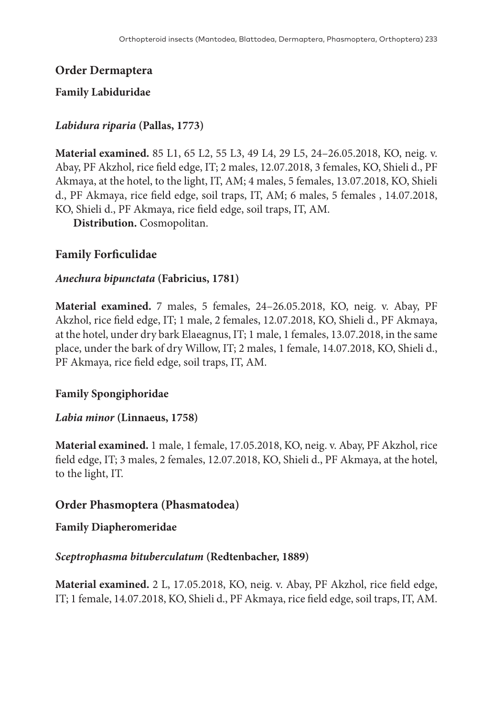# **Order Dermaptera**

### **Family Labiduridae**

# *Labidura riparia* **(Pallas, 1773)**

**Material examined.** 85 L1, 65 L2, 55 L3, 49 L4, 29 L5, 24–26.05.2018, KO, neig. v. Abay, PF Akzhol, rice field edge, IT; 2 males, 12.07.2018, 3 females, KO, Shieli d., PF Akmaya, at the hotel, to the light, IT, АМ; 4 males, 5 females, 13.07.2018, KO, Shieli d., PF Akmaya, rice field edge, soil traps, IT, AM; 6 males, 5 females , 14.07.2018, KO, Shieli d., PF Akmaya, rice field edge, soil traps, IT, AM.

**Distribution.** Cosmopolitan.

# **Family Forficulidae**

### *Anechura bipunctata* **(Fabricius, 1781)**

**Material examined.** 7 males, 5 females, 24–26.05.2018, KO, neig. v. Abay, PF Akzhol, rice field edge, IT; 1 male, 2 females, 12.07.2018, KO, Shieli d., PF Akmaya, at the hotel, under dry bark Elaeagnus, IT; 1 male, 1 females, 13.07.2018, in the same place, under the bark of dry Willow, IT; 2 males, 1 female, 14.07.2018, KO, Shieli d., PF Akmaya, rice field edge, soil traps, IT, AM.

### **Family Spongiphoridae**

### *Labia minor* **(Linnaeus, 1758)**

**Material examined.** 1 male, 1 female, 17.05.2018, KO, neig. v. Abay, PF Akzhol, rice field edge, IT; 3 males, 2 females, 12.07.2018, KO, Shieli d., PF Akmaya, at the hotel, to the light, IT.

### **Order Phasmoptera (Phasmatodea)**

### **Family Diapheromeridae**

### *Sceptrophasma bituberculatum* **(Redtenbacher, 1889)**

**Material examined.** 2 L, 17.05.2018, KO, neig. v. Abay, PF Akzhol, rice field edge, IT; 1 female, 14.07.2018, KO, Shieli d., PF Akmaya, rice field edge, soil traps, IT, AM.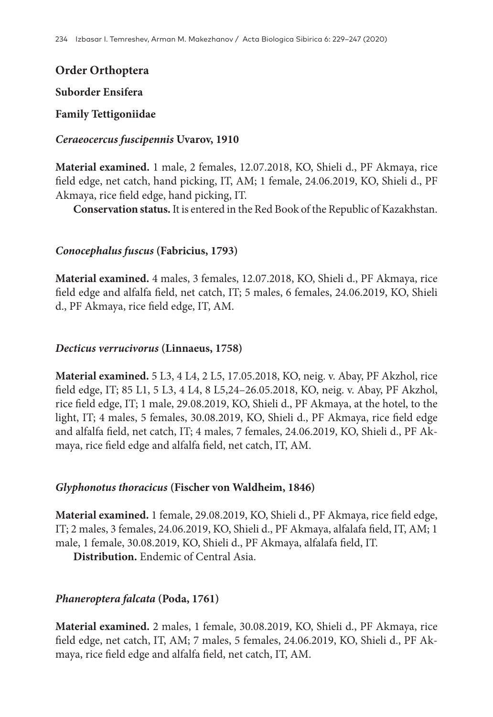### **Order Orthoptera**

#### **Suborder Ensifera**

### **Family Tettigoniidae**

#### *Ceraeocercus fuscipennis* **Uvarov, 1910**

**Material examined.** 1 male, 2 females, 12.07.2018, KO, Shieli d., PF Akmaya, rice field edge, net catch, hand picking, IT, AM; 1 female, 24.06.2019, KO, Shieli d., PF Akmaya, rice field edge, hand picking, IT.

**Conservation status.** It is entered in the Red Book of the Republic of Kazakhstan.

### *Conocephalus fuscus* **(Fabricius, 1793)**

**Material examined.** 4 males, 3 females, 12.07.2018, KO, Shieli d., PF Akmaya, rice field edge and alfalfa field, net catch, IT; 5 males, 6 females, 24.06.2019, KO, Shieli d., PF Akmaya, rice field edge, IТ, АМ.

#### *Decticus verrucivorus* **(Linnaeus, 1758)**

**Material examined.** 5 L3, 4 L4, 2 L5, 17.05.2018, KO, neig. v. Abay, PF Akzhol, rice field edge, IT; 85 L1, 5 L3, 4 L4, 8 L5,24–26.05.2018, KO, neig. v. Abay, PF Akzhol, rice field edge, IT; 1 male, 29.08.2019, KO, Shieli d., PF Akmaya, at the hotel, to the light, IT; 4 males, 5 females, 30.08.2019, KO, Shieli d., PF Akmaya, rice field edge and alfalfa field, net catch, IT; 4 males, 7 females, 24.06.2019, KO, Shieli d., PF Akmaya, rice field edge and alfalfa field, net catch, IT, АМ.

### *Glyphonotus thoracicus* **(Fischer von Waldheim, 1846)**

**Material examined.** 1 female, 29.08.2019, KO, Shieli d., PF Akmaya, rice field edge, IT; 2 males, 3 females, 24.06.2019, KO, Shieli d., PF Akmaya, alfalafa field, IT, АМ; 1 male, 1 female, 30.08.2019, KO, Shieli d., PF Akmaya, alfalafa field, IT.

**Distribution.** Endemic of Central Asia.

### *Phaneroptera falcata* **(Poda, 1761)**

**Material examined.** 2 males, 1 female, 30.08.2019, KO, Shieli d., PF Akmaya, rice field edge, net catch, IT, АМ; 7 males, 5 females, 24.06.2019, KO, Shieli d., PF Akmaya, rice field edge and alfalfa field, net catch, IT, АМ.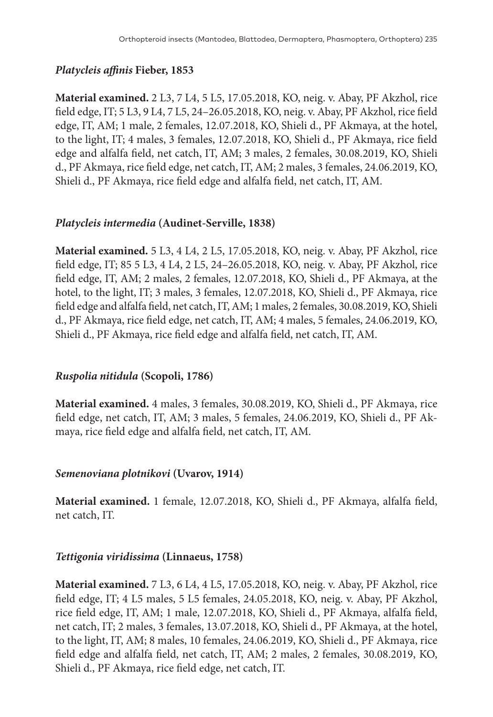# *Platycleis affinis* **Fieber, 1853**

**Material examined.** 2 L3, 7 L4, 5 L5, 17.05.2018, KO, neig. v. Abay, PF Akzhol, rice field edge, IT; 5 L3, 9 L4, 7 L5, 24–26.05.2018, KO, neig. v. Abay, PF Akzhol, rice field edge, IT, АМ; 1 male, 2 females, 12.07.2018, KO, Shieli d., PF Akmaya, at the hotel, to the light, IT; 4 males, 3 females, 12.07.2018, KO, Shieli d., PF Akmaya, rice field edge and alfalfa field, net catch, IT, АМ; 3 males, 2 females, 30.08.2019, KO, Shieli d., PF Akmaya, rice field edge, net catch, IT, АМ; 2 males, 3 females, 24.06.2019, KO, Shieli d., PF Akmaya, rice field edge and alfalfa field, net catch, IT, АМ.

### *Platycleis intermedia* **(Audinet-Serville, 1838)**

**Material examined.** 5 L3, 4 L4, 2 L5, 17.05.2018, KO, neig. v. Abay, PF Akzhol, rice field edge, IT; 85 5 L3, 4 L4, 2 L5, 24–26.05.2018, KO, neig. v. Abay, PF Akzhol, rice field edge, IT, АМ; 2 males, 2 females, 12.07.2018, KO, Shieli d., PF Akmaya, at the hotel, to the light, IT; 3 males, 3 females, 12.07.2018, KO, Shieli d., PF Akmaya, rice field edge and alfalfa field, net catch, IT, АМ; 1 males, 2 females, 30.08.2019, KO, Shieli d., PF Akmaya, rice field edge, net catch, IT, АМ; 4 males, 5 females, 24.06.2019, KO, Shieli d., PF Akmaya, rice field edge and alfalfa field, net catch, IT, АМ.

# *Ruspolia nitidula* **(Scopoli, 1786)**

**Material examined.** 4 males, 3 females, 30.08.2019, KO, Shieli d., PF Akmaya, rice field edge, net catch, IT, АМ; 3 males, 5 females, 24.06.2019, KO, Shieli d., PF Akmaya, rice field edge and alfalfa field, net catch, IT, АМ.

### *Semenoviana plotnikovi* **(Uvarov, 1914)**

**Material examined.** 1 female, 12.07.2018, KO, Shieli d., PF Akmaya, alfalfa field, net catch, IT.

# *Tettigonia viridissima* **(Linnaeus, 1758)**

**Material examined.** 7 L3, 6 L4, 4 L5, 17.05.2018, KO, neig. v. Abay, PF Akzhol, rice field edge, IT; 4 L5 males, 5 L5 females, 24.05.2018, KO, neig. v. Abay, PF Akzhol, rice field edge, IT, АМ; 1 male, 12.07.2018, KO, Shieli d., PF Akmaya, alfalfa field, net catch, IT; 2 males, 3 females, 13.07.2018, KO, Shieli d., PF Akmaya, at the hotel, to the light, IT, АМ; 8 males, 10 females, 24.06.2019, KO, Shieli d., PF Akmaya, rice field edge and alfalfa field, net catch, IT, АМ; 2 males, 2 females, 30.08.2019, KO, Shieli d., PF Akmaya, rice field edge, net catch, IT.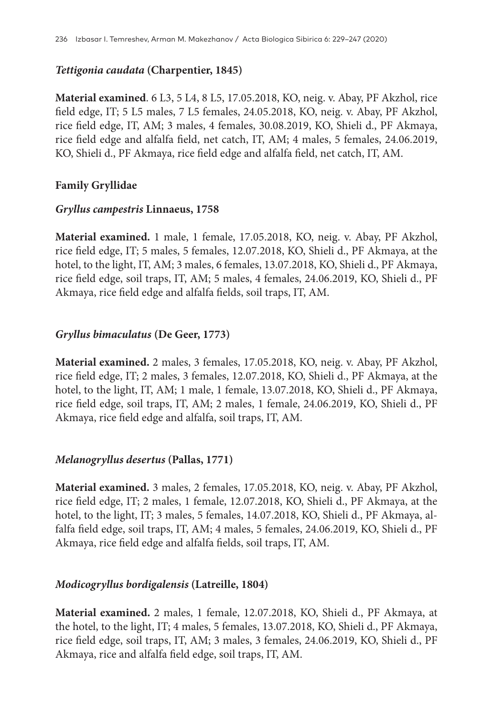#### *Tettigonia caudata* **(Charpentier, 1845)**

**Material examined**. 6 L3, 5 L4, 8 L5, 17.05.2018, KO, neig. v. Abay, PF Akzhol, rice field edge, IT; 5 L5 males, 7 L5 females, 24.05.2018, KO, neig. v. Abay, PF Akzhol, rice field edge, IT, АМ; 3 males, 4 females, 30.08.2019, KO, Shieli d., PF Akmaya, rice field edge and alfalfa field, net catch, IT, АМ; 4 males, 5 females, 24.06.2019, KO, Shieli d., PF Akmaya, rice field edge and alfalfa field, net catch, IT, АМ.

#### **Family Gryllidae**

#### *Gryllus campestris* **Linnaeus, 1758**

**Material examined.** 1 male, 1 female, 17.05.2018, KO, neig. v. Abay, PF Akzhol, rice field edge, IT; 5 males, 5 females, 12.07.2018, KO, Shieli d., PF Akmaya, at the hotel, to the light, IT, АМ; 3 males, 6 females, 13.07.2018, KO, Shieli d., PF Akmaya, rice field edge, soil traps, IT, AM; 5 males, 4 females, 24.06.2019, KO, Shieli d., PF Akmaya, rice field edge and alfalfa fields, soil traps, IT, АМ.

### *Gryllus bimaculatus* **(De Geer, 1773)**

**Material examined.** 2 males, 3 females, 17.05.2018, KO, neig. v. Abay, PF Akzhol, rice field edge, IT; 2 males, 3 females, 12.07.2018, KO, Shieli d., PF Akmaya, at the hotel, to the light, IT, АМ; 1 male, 1 female, 13.07.2018, KO, Shieli d., PF Akmaya, rice field edge, soil traps, IT, AM; 2 males, 1 female, 24.06.2019, KO, Shieli d., PF Akmaya, rice field edge and alfalfa, soil traps, IT, AM.

### *Melanogryllus desertus* **(Pallas, 1771)**

**Material examined.** 3 males, 2 females, 17.05.2018, KO, neig. v. Abay, PF Akzhol, rice field edge, IT; 2 males, 1 female, 12.07.2018, KO, Shieli d., PF Akmaya, at the hotel, to the light, IT; 3 males, 5 females, 14.07.2018, KO, Shieli d., PF Akmaya, alfalfa field edge, soil traps, IT, AM; 4 males, 5 females, 24.06.2019, KO, Shieli d., PF Akmaya, rice field edge and alfalfa fields, soil traps, IT, AM.

### *Modicogryllus bordigalensis* **(Latreille, 1804)**

**Material examined.** 2 males, 1 female, 12.07.2018, KO, Shieli d., PF Akmaya, at the hotel, to the light, IT; 4 males, 5 females, 13.07.2018, KO, Shieli d., PF Akmaya, rice field edge, soil traps, IT, AM; 3 males, 3 females, 24.06.2019, KO, Shieli d., PF Akmaya, rice and alfalfa field edge, soil traps, IT, AM.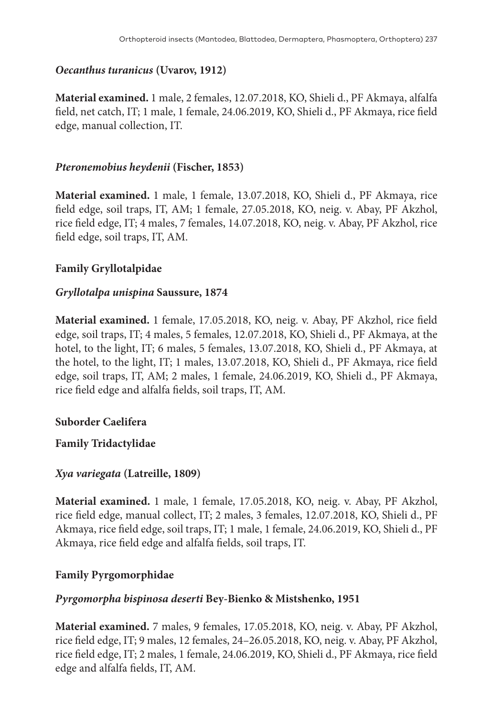### *Oecanthus turanicus* **(Uvarov, 1912)**

**Material examined.** 1 male, 2 females, 12.07.2018, KO, Shieli d., PF Akmaya, alfalfa field, net catch, IT; 1 male, 1 female, 24.06.2019, KO, Shieli d., PF Akmaya, rice field edge, manual collection, IT.

### *Pteronemobius heydenii* **(Fischer, 1853)**

**Material examined.** 1 male, 1 female, 13.07.2018, KO, Shieli d., PF Akmaya, rice field edge, soil traps, IT, AM; 1 female, 27.05.2018, KO, neig. v. Abay, PF Akzhol, rice field edge, IT; 4 males, 7 females, 14.07.2018, KO, neig. v. Abay, PF Akzhol, rice field edge, soil traps, IT, AM.

### **Family Gryllotalpidae**

### *Gryllotalpa unispina* **Saussure, 1874**

**Material examined.** 1 female, 17.05.2018, KO, neig. v. Abay, PF Akzhol, rice field edge, soil traps, IT; 4 males, 5 females, 12.07.2018, KO, Shieli d., PF Akmaya, at the hotel, to the light, IT; 6 males, 5 females, 13.07.2018, KO, Shieli d., PF Akmaya, at the hotel, to the light, IT; 1 males, 13.07.2018, KO, Shieli d., PF Akmaya, rice field edge, soil traps, IT, АМ; 2 males, 1 female, 24.06.2019, KO, Shieli d., PF Akmaya, rice field edge and alfalfa fields, soil traps, IT, АМ.

### **Suborder Caelifera**

**Family Tridactylidae**

### *Xya variegata* **(Latreille, 1809)**

**Material examined.** 1 male, 1 female, 17.05.2018, KO, neig. v. Abay, PF Akzhol, rice field edge, manual collect, IT; 2 males, 3 females, 12.07.2018, KO, Shieli d., PF Akmaya, rice field edge, soil traps, IT; 1 male, 1 female, 24.06.2019, KO, Shieli d., PF Akmaya, rice field edge and alfalfa fields, soil traps, IT.

### **Family Pyrgomorphidae**

### *Pyrgomorpha bispinosa deserti* **Bey-Bienko & Mistshenko, 1951**

**Material examined.** 7 males, 9 females, 17.05.2018, KO, neig. v. Abay, PF Akzhol, rice field edge, IT; 9 males, 12 females, 24–26.05.2018, KO, neig. v. Abay, PF Akzhol, rice field edge, IT; 2 males, 1 female, 24.06.2019, KO, Shieli d., PF Akmaya, rice field edge and alfalfa fields, IT, АМ.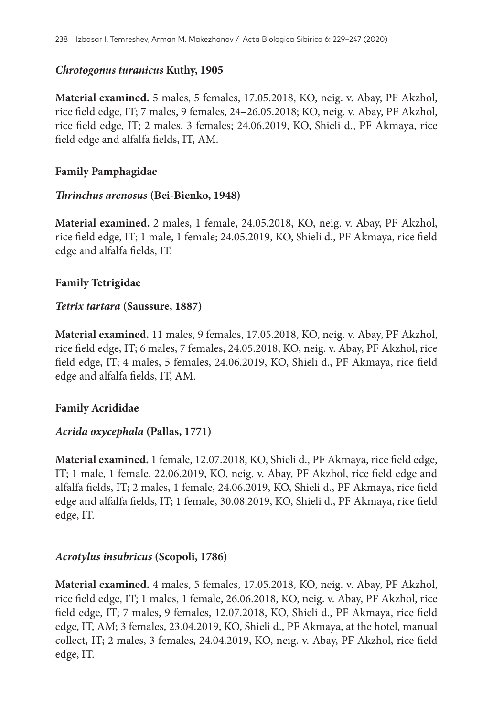### *Chrotogonus turanicus* **Kuthy, 1905**

**Material examined.** 5 males, 5 females, 17.05.2018, KO, neig. v. Abay, PF Akzhol, rice field edge, IT; 7 males, 9 females, 24–26.05.2018; KO, neig. v. Abay, PF Akzhol, rice field edge, IT; 2 males, 3 females; 24.06.2019, KO, Shieli d., PF Akmaya, rice field edge and alfalfa fields, IT, АМ.

### **Family Pamphagidae**

#### *Thrinchus arenosus* **(Bei-Bienko, 1948)**

**Material examined.** 2 males, 1 female, 24.05.2018, KO, neig. v. Abay, PF Akzhol, rice field edge, IT; 1 male, 1 female; 24.05.2019, KO, Shieli d., PF Akmaya, rice field edge and alfalfa fields, IT.

### **Family Tetrigidae**

### *Tetrix tartara* **(Saussure, 1887)**

**Material examined.** 11 males, 9 females, 17.05.2018, KO, neig. v. Abay, PF Akzhol, rice field edge, IT; 6 males, 7 females, 24.05.2018, KO, neig. v. Abay, PF Akzhol, rice field edge, IT; 4 males, 5 females, 24.06.2019, KO, Shieli d., PF Akmaya, rice field edge and alfalfa fields, IT, АМ.

### **Family Acrididae**

### *Acrida oxycephala* **(Pallas, 1771)**

**Material examined.** 1 female, 12.07.2018, KO, Shieli d., PF Akmaya, rice field edge, IT; 1 male, 1 female, 22.06.2019, KO, neig. v. Abay, PF Akzhol, rice field edge and alfalfa fields, IT; 2 males, 1 female, 24.06.2019, KO, Shieli d., PF Akmaya, rice field edge and alfalfa fields, IT; 1 female, 30.08.2019, KO, Shieli d., PF Akmaya, rice field edge, IT.

### *Acrotylus insubricus* **(Scopoli, 1786)**

**Material examined.** 4 males, 5 females, 17.05.2018, KO, neig. v. Abay, PF Akzhol, rice field edge, IT; 1 males, 1 female, 26.06.2018, KO, neig. v. Abay, PF Akzhol, rice field edge, IT; 7 males, 9 females, 12.07.2018, KO, Shieli d., PF Akmaya, rice field edge, IT, АМ; 3 females, 23.04.2019, KO, Shieli d., PF Akmaya, at the hotel, manual collect, IТ; 2 males, 3 females, 24.04.2019, KO, neig. v. Abay, PF Akzhol, rice field edge, IT.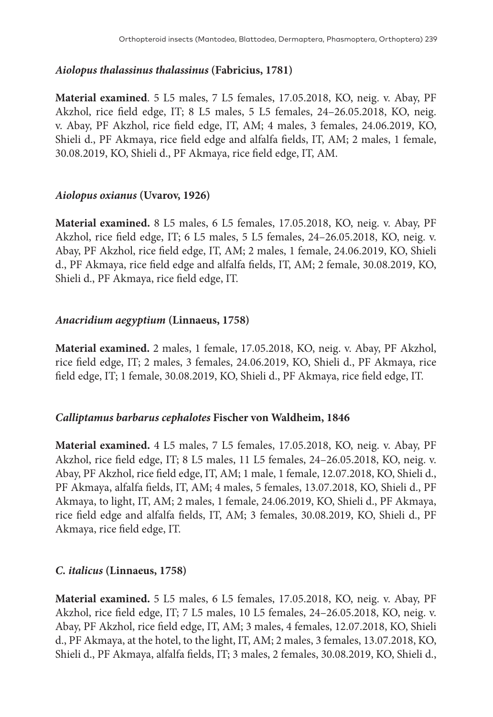#### *Aiolopus thalassinus thalassinus* **(Fabricius, 1781)**

**Material examined**. 5 L5 males, 7 L5 females, 17.05.2018, KO, neig. v. Abay, PF Akzhol, rice field edge, IT; 8 L5 males, 5 L5 females, 24–26.05.2018, KO, neig. v. Abay, PF Akzhol, rice field edge, IT, АМ; 4 males, 3 females, 24.06.2019, KO, Shieli d., PF Akmaya, rice field edge and alfalfa fields, IT, АМ; 2 males, 1 female, 30.08.2019, KO, Shieli d., PF Akmaya, rice field edge, IT, АМ.

#### *Aiolopus oxianus* **(Uvarov, 1926)**

**Material examined.** 8 L5 males, 6 L5 females, 17.05.2018, KO, neig. v. Abay, PF Akzhol, rice field edge, IT; 6 L5 males, 5 L5 females, 24–26.05.2018, KO, neig. v. Abay, PF Akzhol, rice field edge, IT, АМ; 2 males, 1 female, 24.06.2019, KO, Shieli d., PF Akmaya, rice field edge and alfalfa fields, IT, АМ; 2 female, 30.08.2019, KO, Shieli d., PF Akmaya, rice field edge, IT.

#### *Anacridium aegyptium* **(Linnaeus, 1758)**

**Material examined.** 2 males, 1 female, 17.05.2018, KO, neig. v. Abay, PF Akzhol, rice field edge, IT; 2 males, 3 females, 24.06.2019, KO, Shieli d., PF Akmaya, rice field edge, IT; 1 female, 30.08.2019, KO, Shieli d., PF Akmaya, rice field edge, IT.

#### *Calliptamus barbarus cephalotes* **Fischer von Waldheim, 1846**

**Material examined.** 4 L5 males, 7 L5 females, 17.05.2018, KO, neig. v. Abay, PF Akzhol, rice field edge, IT; 8 L5 males, 11 L5 females, 24–26.05.2018, KO, neig. v. Abay, PF Akzhol, rice field edge, IT, АМ; 1 male, 1 female, 12.07.2018, KO, Shieli d., PF Akmaya, alfalfa fields, IT, АМ; 4 males, 5 females, 13.07.2018, KO, Shieli d., PF Akmaya, to light, IТ, АМ; 2 males, 1 female, 24.06.2019, KO, Shieli d., PF Akmaya, rice field edge and alfalfa fields, IT, АМ; 3 females, 30.08.2019, KO, Shieli d., PF Akmaya, rice field edge, IT.

#### *C. italicus* **(Linnaeus, 1758)**

**Material examined.** 5 L5 males, 6 L5 females, 17.05.2018, KO, neig. v. Abay, PF Akzhol, rice field edge, IT; 7 L5 males, 10 L5 females, 24–26.05.2018, KO, neig. v. Abay, PF Akzhol, rice field edge, IT, АМ; 3 males, 4 females, 12.07.2018, KO, Shieli d., PF Akmaya, at the hotel, to the light, IT, АМ; 2 males, 3 females, 13.07.2018, KO, Shieli d., PF Akmaya, alfalfa fields, IT; 3 males, 2 females, 30.08.2019, KO, Shieli d.,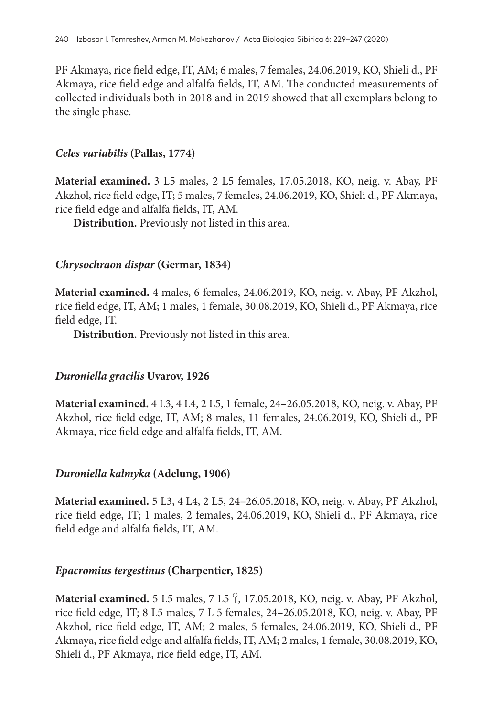PF Akmaya, rice field edge, IT, АМ; 6 males, 7 females, 24.06.2019, KO, Shieli d., PF Akmaya, rice field edge and alfalfa fields, IT, АМ. The conducted measurements of collected individuals both in 2018 and in 2019 showed that all exemplars belong to the single phase.

#### *Celes variabilis* **(Pallas, 1774)**

**Material examined.** 3 L5 males, 2 L5 females, 17.05.2018, KO, neig. v. Abay, PF Akzhol, rice field edge, IT; 5 males, 7 females, 24.06.2019, KO, Shieli d., PF Akmaya, rice field edge and alfalfa fields, IT, AM.

**Distribution.** Previously not listed in this area.

### *Chrysochraon dispar* **(Germar, 1834)**

**Material examined.** 4 males, 6 females, 24.06.2019, KO, neig. v. Abay, PF Akzhol, rice field edge, IT, АМ; 1 males, 1 female, 30.08.2019, KO, Shieli d., PF Akmaya, rice field edge, IT.

**Distribution.** Previously not listed in this area.

### *Duroniella gracilis* **Uvarov, 1926**

**Material examined.** 4 L3, 4 L4, 2 L5, 1 female, 24–26.05.2018, KO, neig. v. Abay, PF Akzhol, rice field edge, IT, АМ; 8 males, 11 females, 24.06.2019, KO, Shieli d., PF Akmaya, rice field edge and alfalfa fields, IT, АМ.

### *Duroniella kalmyka* **(Adelung, 1906)**

**Material examined.** 5 L3, 4 L4, 2 L5, 24–26.05.2018, KO, neig. v. Abay, PF Akzhol, rice field edge, IT; 1 males, 2 females, 24.06.2019, KO, Shieli d., PF Akmaya, rice field edge and alfalfa fields, IT, АМ.

### *Epacromius tergestinus* **(Charpentier, 1825)**

**Material examined.** 5 L5 males, 7 L5 ♀, 17.05.2018, KO, neig. v. Abay, PF Akzhol, rice field edge, IT; 8 L5 males, 7 L 5 females, 24–26.05.2018, KO, neig. v. Abay, PF Akzhol, rice field edge, IT, АМ; 2 males, 5 females, 24.06.2019, KO, Shieli d., PF Akmaya, rice field edge and alfalfa fields, IT, АМ; 2 males, 1 female, 30.08.2019, KO, Shieli d., PF Akmaya, rice field edge, IT, АМ.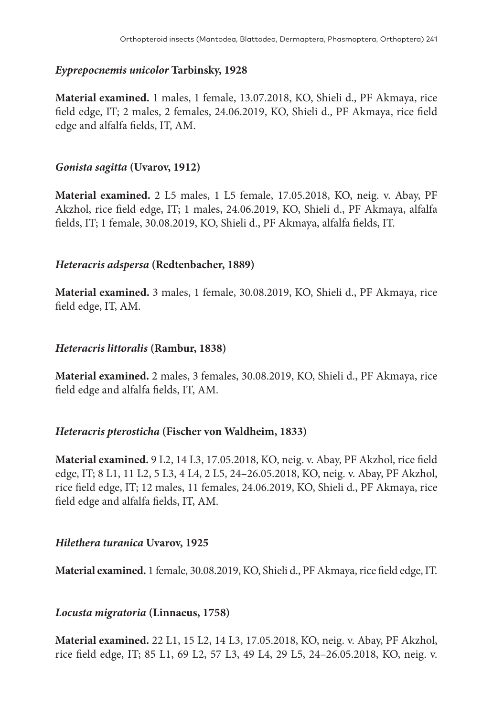#### *Eyprepocnemis unicolor* **Tarbinsky, 1928**

**Material examined.** 1 males, 1 female, 13.07.2018, KO, Shieli d., PF Akmaya, rice field edge, IT; 2 males, 2 females, 24.06.2019, KO, Shieli d., PF Akmaya, rice field edge and alfalfa fields, IT, АМ.

#### *Gonista sagitta* **(Uvarov, 1912)**

**Material examined.** 2 L5 males, 1 L5 female, 17.05.2018, KO, neig. v. Abay, PF Akzhol, rice field edge, IT; 1 males, 24.06.2019, KO, Shieli d., PF Akmaya, alfalfa fields, IT; 1 female, 30.08.2019, KO, Shieli d., PF Akmaya, alfalfa fields, IT.

#### *Heteracris adspersa* **(Redtenbacher, 1889)**

**Material examined.** 3 males, 1 female, 30.08.2019, KO, Shieli d., PF Akmaya, rice field edge, IT, АМ.

#### *Heteracris littoralis* **(Rambur, 1838)**

**Material examined.** 2 males, 3 females, 30.08.2019, KO, Shieli d., PF Akmaya, rice field edge and alfalfa fields, IT, АМ.

#### *Heteracris pterosticha* **(Fischer von Waldheim, 1833)**

**Material examined.** 9 L2, 14 L3, 17.05.2018, KO, neig. v. Abay, PF Akzhol, rice field edge, IT; 8 L1, 11 L2, 5 L3, 4 L4, 2 L5, 24–26.05.2018, KO, neig. v. Abay, PF Akzhol, rice field edge, IT; 12 males, 11 females, 24.06.2019, KO, Shieli d., PF Akmaya, rice field edge and alfalfa fields, IT, АМ.

#### *Hilethera turanica* **Uvarov, 1925**

**Material examined.** 1 female, 30.08.2019, KO, Shieli d., PF Akmaya, rice field edge, IT.

### *Locusta migratoria* **(Linnaeus, 1758)**

**Material examined.** 22 L1, 15 L2, 14 L3, 17.05.2018, KO, neig. v. Abay, PF Akzhol, rice field edge, IT; 85 L1, 69 L2, 57 L3, 49 L4, 29 L5, 24–26.05.2018, KO, neig. v.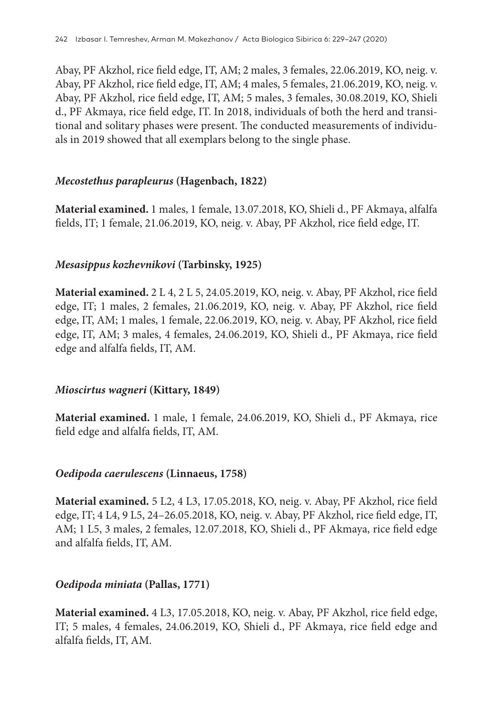Abay, PF Akzhol, rice field edge, IT, АМ; 2 males, 3 females, 22.06.2019, KO, neig. v. Abay, PF Akzhol, rice field edge, IT, АМ; 4 males, 5 females, 21.06.2019, KO, neig. v. Abay, PF Akzhol, rice field edge, IT, АМ; 5 males, 3 females, 30.08.2019, KO, Shieli d., PF Akmaya, rice field edge, IT. In 2018, individuals of both the herd and transitional and solitary phases were present. The conducted measurements of individuals in 2019 showed that all exemplars belong to the single phase.

#### *Mecostethus parapleurus* **(Hagenbach, 1822)**

**Material examined.** 1 males, 1 female, 13.07.2018, KO, Shieli d., PF Akmaya, alfalfa fields, IT; 1 female, 21.06.2019, KO, neig. v. Abay, PF Akzhol, rice field edge, IT.

### *Mesasippus kozhevnikovi* **(Tarbinsky, 1925)**

**Material examined.** 2 L 4, 2 L 5, 24.05.2019, KO, neig. v. Abay, PF Akzhol, rice field edge, IT; 1 males, 2 females, 21.06.2019, KO, neig. v. Abay, PF Akzhol, rice field edge, IT, АМ; 1 males, 1 female, 22.06.2019, KO, neig. v. Abay, PF Akzhol, rice field edge, IT, АМ; 3 males, 4 females, 24.06.2019, KO, Shieli d., PF Akmaya, rice field edge and alfalfa fields, IT, АМ.

### *Mioscirtus wagneri* **(Kittary, 1849)**

**Material examined.** 1 male, 1 female, 24.06.2019, KO, Shieli d., PF Akmaya, rice field edge and alfalfa fields, IT, АМ.

#### *Oedipoda caerulescens* **(Linnaeus, 1758)**

**Material examined.** 5 L2, 4 L3, 17.05.2018, KO, neig. v. Abay, PF Akzhol, rice field edge, IT; 4 L4, 9 L5, 24–26.05.2018, KO, neig. v. Abay, PF Akzhol, rice field edge, IT, АМ; 1 L5, 3 males, 2 females, 12.07.2018, KO, Shieli d., PF Akmaya, rice field edge and alfalfa fields, IT, АМ.

### *Oedipoda miniata* **(Pallas, 1771)**

**Material examined.** 4 L3, 17.05.2018, KO, neig. v. Abay, PF Akzhol, rice field edge, IT; 5 males, 4 females, 24.06.2019, KO, Shieli d., PF Akmaya, rice field edge and alfalfa fields, IT, АМ.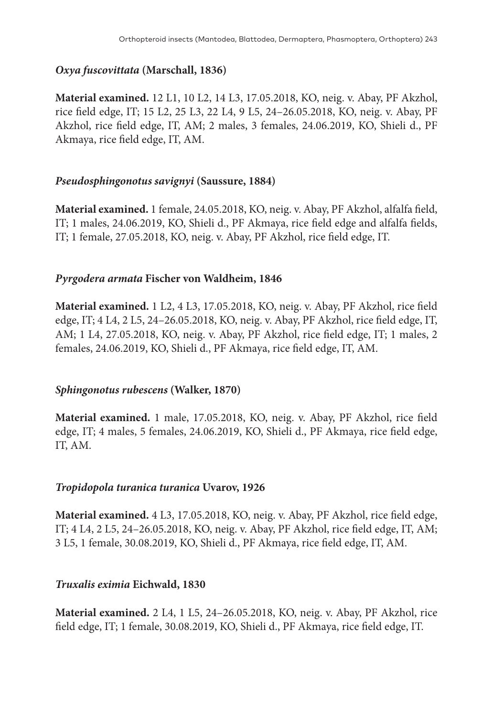### *Oxya fuscovittata* **(Marschall, 1836)**

**Material examined.** 12 L1, 10 L2, 14 L3, 17.05.2018, KO, neig. v. Abay, PF Akzhol, rice field edge, IT; 15 L2, 25 L3, 22 L4, 9 L5, 24–26.05.2018, KO, neig. v. Abay, PF Akzhol, rice field edge, IT, АМ; 2 males, 3 females, 24.06.2019, KO, Shieli d., PF Akmaya, rice field edge, IT, АМ.

### *Pseudosphingonotus savignyi* **(Saussure, 1884)**

**Material examined.** 1 female, 24.05.2018, KO, neig. v. Abay, PF Akzhol, alfalfa field, IT; 1 males, 24.06.2019, KO, Shieli d., PF Akmaya, rice field edge and alfalfa fields, IT; 1 female, 27.05.2018, KO, neig. v. Abay, PF Akzhol, rice field edge, IT.

#### *Pyrgodera armata* **Fischer von Waldheim, 1846**

**Material examined.** 1 L2, 4 L3, 17.05.2018, KO, neig. v. Abay, PF Akzhol, rice field edge, IT; 4 L4, 2 L5, 24–26.05.2018, KO, neig. v. Abay, PF Akzhol, rice field edge, IT, АМ; 1 L4, 27.05.2018, KO, neig. v. Abay, PF Akzhol, rice field edge, IT; 1 males, 2 females, 24.06.2019, KO, Shieli d., PF Akmaya, rice field edge, IT, АМ.

### *Sphingonotus rubescens* **(Walker, 1870)**

**Material examined.** 1 male, 17.05.2018, KO, neig. v. Abay, PF Akzhol, rice field edge, IT; 4 males, 5 females, 24.06.2019, KO, Shieli d., PF Akmaya, rice field edge, IT, АМ.

#### *Tropidopola turanica turanica* **Uvarov, 1926**

**Material examined.** 4 L3, 17.05.2018, KO, neig. v. Abay, PF Akzhol, rice field edge, IT; 4 L4, 2 L5, 24–26.05.2018, KO, neig. v. Abay, PF Akzhol, rice field edge, IT, АМ; 3 L5, 1 female, 30.08.2019, KO, Shieli d., PF Akmaya, rice field edge, IT, АМ.

### *Truxalis eximia* **Eichwald, 1830**

**Material examined.** 2 L4, 1 L5, 24–26.05.2018, KO, neig. v. Abay, PF Akzhol, rice field edge, IT; 1 female, 30.08.2019, KO, Shieli d., PF Akmaya, rice field edge, IT.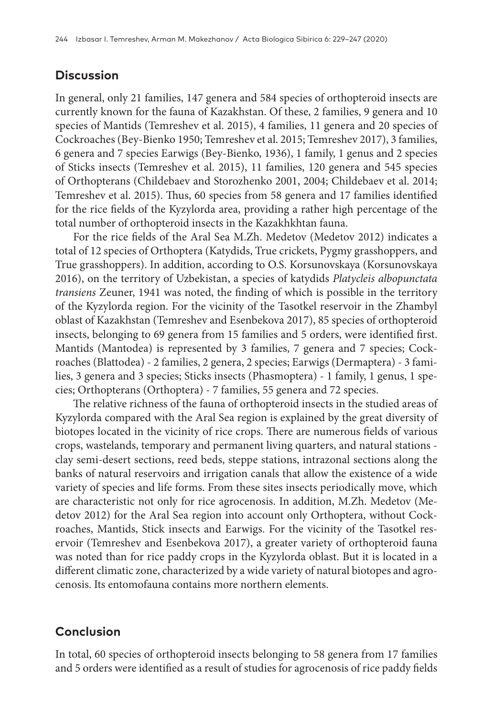# **Discussion**

In general, only 21 families, 147 genera and 584 species of orthopteroid insects are currently known for the fauna of Kazakhstan. Of these, 2 families, 9 genera and 10 species of Mantids (Temreshev et al. 2015), 4 families, 11 genera and 20 species of Cockroaches (Bey-Bienko 1950; Temreshev et al. 2015; Temreshev 2017), 3 families, 6 genera and 7 species Earwigs (Bey-Bienko, 1936), 1 family, 1 genus and 2 species of Sticks insects (Temreshev et al. 2015), 11 families, 120 genera and 545 species of Orthopterans (Childebaev and Storozhenko 2001, 2004; Childebaev et al. 2014; Temreshev et al. 2015). Thus, 60 species from 58 genera and 17 families identified for the rice fields of the Kyzylorda area, providing a rather high percentage of the total number of orthopteroid insects in the Kazakhkhtan fauna.

For the rice fields of the Aral Sea M.Zh. Medetov (Medetov 2012) indicates a total of 12 species of Orthoptera (Katydids, True crickets, Pygmy grasshoppers, and True grasshoppers). In addition, according to O.S. Korsunovskaya (Korsunovskaya 2016), on the territory of Uzbekistan, a species of katydids *Platycleis albopunctata transiens* Zeuner, 1941 was noted, the finding of which is possible in the territory of the Kyzylorda region. For the vicinity of the Tasotkel reservoir in the Zhambyl oblast of Kazakhstan (Temreshev and Esenbekova 2017), 85 species of orthopteroid insects, belonging to 69 genera from 15 families and 5 orders, were identified first. Mantids (Mantodea) is represented by 3 families, 7 genera and 7 species; Cockroaches (Blattodea) - 2 families, 2 genera, 2 species; Earwigs (Dermaptera) - 3 families, 3 genera and 3 species; Sticks insects (Phasmoptera) - 1 family, 1 genus, 1 species; Orthopterans (Orthoptera) - 7 families, 55 genera and 72 species.

The relative richness of the fauna of orthopteroid insects in the studied areas of Kyzylorda compared with the Aral Sea region is explained by the great diversity of biotopes located in the vicinity of rice crops. There are numerous fields of various crops, wastelands, temporary and permanent living quarters, and natural stations clay semi-desert sections, reed beds, steppe stations, intrazonal sections along the banks of natural reservoirs and irrigation canals that allow the existence of a wide variety of species and life forms. From these sites insects periodically move, which are characteristic not only for rice agrocenosis. In addition, M.Zh. Medetov (Medetov 2012) for the Aral Sea region into account only Orthoptera, without Cockroaches, Mantids, Stick insects and Earwigs. For the vicinity of the Tasotkel reservoir (Temreshev and Esenbekova 2017), a greater variety of orthopteroid fauna was noted than for rice paddy crops in the Kyzylorda oblast. But it is located in a different climatic zone, characterized by a wide variety of natural biotopes and agrocenosis. Its entomofauna contains more northern elements.

# **Conclusion**

In total, 60 species of orthopteroid insects belonging to 58 genera from 17 families and 5 orders were identified as a result of studies for agrocenosis of rice paddy fields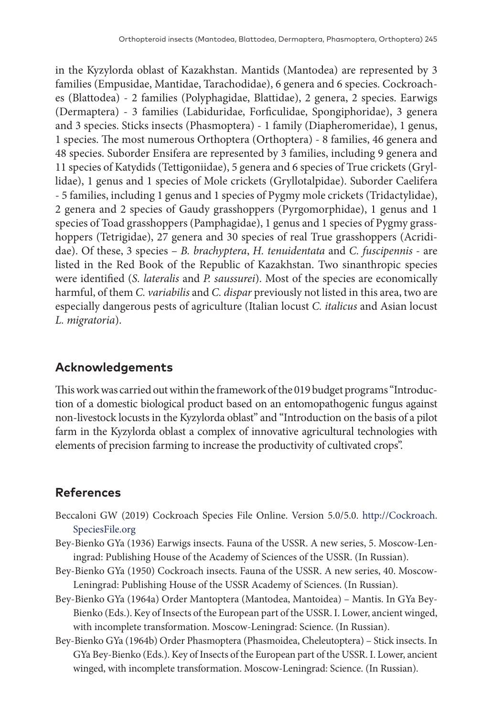in the Kyzylorda oblast of Kazakhstan. Mantids (Mantodea) are represented by 3 families (Empusidae, Mantidae, Tarachodidae), 6 genera and 6 species. Cockroaches (Blattodea) - 2 families (Polyphagidae, Blattidae), 2 genera, 2 species. Earwigs (Dermaptera) - 3 families (Labiduridae, Forficulidae, Spongiphoridae), 3 genera and 3 species. Sticks insects (Phasmoptera) - 1 family (Diapheromeridae), 1 genus, 1 species. The most numerous Orthoptera (Orthoptera) - 8 families, 46 genera and 48 species. Suborder Ensifera are represented by 3 families, including 9 genera and 11 species of Katydids (Tettigoniidae), 5 genera and 6 species of True crickets (Gryllidae), 1 genus and 1 species of Mole crickets (Gryllotalpidae). Suborder Caelifera - 5 families, including 1 genus and 1 species of Pygmy mole crickets (Tridactylidae), 2 genera and 2 species of Gaudy grasshoppers (Pyrgomorphidae), 1 genus and 1 species of Toad grasshoppers (Pamphagidae), 1 genus and 1 species of Pygmy grasshoppers (Tetrigidae), 27 genera and 30 species of real True grasshoppers (Acrididae). Of these, 3 species – *B. brachyptera*, *H. tenuidentata* and *C. fuscipennis* - are listed in the Red Book of the Republic of Kazakhstan. Two sinanthropic species were identified (*S. lateralis* and *P. saussurei*). Most of the species are economically harmful, of them *C. variabilis* and *C. dispar* previously not listed in this area, two are especially dangerous pests of agriculture (Italian locust *C. italicus* and Asian locust *L. migratoria*).

### **Acknowledgements**

This work was carried out within the framework of the 019 budget programs "Introduction of a domestic biological product based on an entomopathogenic fungus against non-livestock locusts in the Kyzylorda oblast" and "Introduction on the basis of a pilot farm in the Kyzylorda oblast a complex of innovative agricultural technologies with elements of precision farming to increase the productivity of cultivated crops".

# **References**

- Beccaloni GW (2019) Cockroach Species File Online. Version 5.0/5.0. [http://Cockroach.](http://Cockroach.SpeciesFile.org) [SpeciesFile.org](http://Cockroach.SpeciesFile.org)
- Bey-Bienko GYa (1936) Earwigs insects. Fauna of the USSR. A new series, 5. Moscow-Leningrad: Publishing House of the Academy of Sciences of the USSR. (In Russian).
- Bey-Bienko GYa (1950) Cockroach insects. Fauna of the USSR. A new series, 40. Moscow-Leningrad: Publishing House of the USSR Academy of Sciences. (In Russian).
- Bey-Bienko GYa (1964a) Order Mantoptera (Mantodea, Mantoidea) Mantis. In GYa Bey-Bienko (Eds.). Key of Insects of the European part of the USSR. I. Lower, ancient winged, with incomplete transformation. Moscow-Leningrad: Science. (In Russian).
- Bey-Bienko GYa (1964b) Order Phasmoptera (Phasmoidea, Cheleutoptera) Stick insects. In GYa Bey-Bienko (Eds.). Key of Insects of the European part of the USSR. I. Lower, ancient winged, with incomplete transformation. Moscow-Leningrad: Science. (In Russian).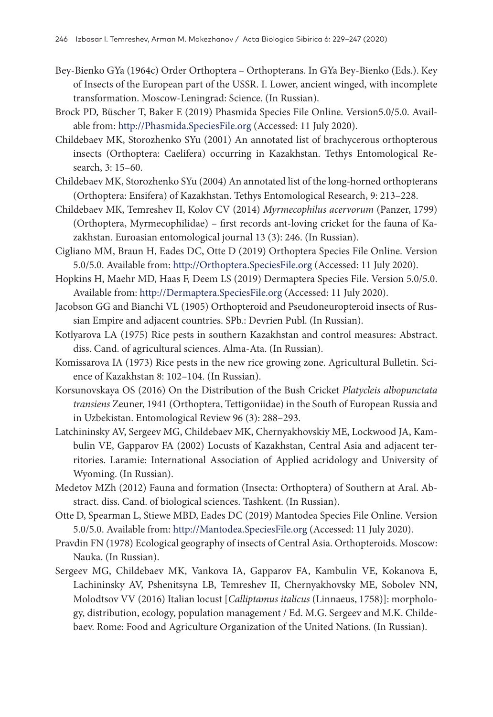- Bey-Bienko GYa (1964c) Order Orthoptera Orthopterans. In GYa Bey-Bienko (Eds.). Key of Insects of the European part of the USSR. I. Lower, ancient winged, with incomplete transformation. Moscow-Leningrad: Science. (In Russian).
- Brock PD, Büscher T, Baker E (2019) Phasmida Species File Online. Version5.0/5.0. Available from:<http://Phasmida.SpeciesFile.org>(Accessed: 11 July 2020).
- Childebaev MK, Storozhenko SYu (2001) An annotated list of brachycerous orthopterous insects (Orthoptera: Caelifera) occurring in Kazakhstan. Tethys Entomological Research, 3: 15–60.
- Childebaev MK, Storozhenko SYu (2004) An annotated list of the long-horned orthopterans (Orthoptera: Ensifera) of Kazakhstan. Tethys Entomological Research, 9: 213–228.
- Childebaev МК, Temreshev II, Kolov CV (2014) *Myrmecophilus acervorum* (Panzer, 1799) (Orthoptera, Myrmecophilidae) – first records ant-loving cricket for the fauna of Kazakhstan. Euroasian entomological journal 13 (3): 246. (In Russian).
- Cigliano MM, Braun H, Eades DC, Otte D (2019) Orthoptera Species File Online. Version 5.0/5.0. Available from:<http://Orthoptera.SpeciesFile.org> (Accessed: 11 July 2020).
- Hopkins H, Maehr MD, Haas F, Deem LS (2019) Dermaptera Species File. Version 5.0/5.0. Available from: <http://Dermaptera.SpeciesFile.org>(Accessed: 11 July 2020).
- Jacobson GG and Bianchi VL (1905) Orthopteroid and Pseudoneuropteroid insects of Russian Empire and adjacent countries. SPb.: Devrien Publ. (In Russian).
- Kotlyarova LA (1975) Rice pests in southern Kazakhstan and control measures: Abstract. diss. Cand. of agricultural sciences. Alma-Ata. (In Russian).
- Komissarova IA (1973) Rice pests in the new rice growing zone. Agricultural Bulletin. Science of Kazakhstan 8: 102–104. (In Russian).
- Korsunovskaya OS (2016) On the Distribution of the Bush Cricket *Platycleis albopunctata transiens* Zeuner, 1941 (Orthoptera, Tettigoniidae) in the South of European Russia and in Uzbekistan. Entomological Review 96 (3): 288–293.
- Latchininsky AV, Sergeev MG, Childebaev MK, Chernyakhovskiy ME, Lockwood JA, Kambulin VE, Gapparov FA (2002) Locusts of Kazakhstan, Central Asia and adjacent territories. Laramie: International Association of Applied acridology and University of Wyoming. (In Russian).
- Medetov MZh (2012) Fauna and formation (Insecta: Orthoptera) of Southern at Aral. Abstract. diss. Cand. of biological sciences. Tashkent. (In Russian).
- Otte D, Spearman L, Stiewe MBD, Eades DC (2019) Mantodea Species File Online. Version 5.0/5.0. Available from:<http://Mantodea.SpeciesFile.org>(Accessed: 11 July 2020).
- Pravdin FN (1978) Ecological geography of insects of Central Asia. Orthopteroids. Moscow: Nauka. (In Russian).
- Sergeev MG, Childebaev MK, Vankova IA, Gapparov FA, Kambulin VE, Kokanova E, Lachininsky AV, Pshenitsyna LB, Temreshev II, Chernyakhovsky ME, Sobolev NN, Molodtsov VV (2016) Italian locust [*Calliptamus italicus* (Linnaeus, 1758)]: morphology, distribution, ecology, population management / Ed. M.G. Sergeev and M.K. Childebaev. Rome: Food and Agriculture Organization of the United Nations. (In Russian).